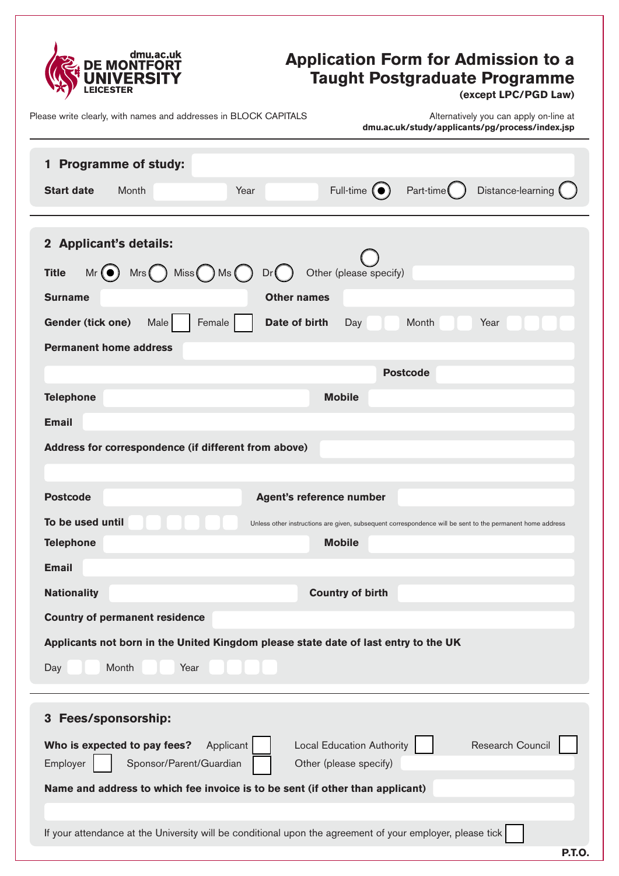

# **Application Form for Admission to a Taught Postgraduate Programme**

**(except LPC/PGD Law)**

Please write clearly, with names and addresses in BLOCK CAPITALS

| dmu.ac.uk/study/applicants/pg/process/index.jsp |  |
|-------------------------------------------------|--|
| Alternatively you can apply on-line at          |  |

| <b>Programme of study:</b><br>$\mathbf{1}$<br>Full-time $\left( \bullet \right)$<br>Part-time <sup>(</sup><br>Distance-learning<br><b>Start date</b><br>Month<br>Year                                                                                                                                                                                                                      |
|--------------------------------------------------------------------------------------------------------------------------------------------------------------------------------------------------------------------------------------------------------------------------------------------------------------------------------------------------------------------------------------------|
| 2 Applicant's details:<br>$Mr$ ( $\bullet$ ) $Mrs$ ( $\ )$ Miss ( $\ )$ Ms ( $\ )$<br>Other (please specify)<br><b>Title</b><br>Dr()<br><b>Surname</b><br><b>Other names</b><br>Gender (tick one)<br>Female<br>Date of birth<br>Year<br>Male<br>Month<br>Day<br><b>Permanent home address</b>                                                                                              |
| <b>Postcode</b><br><b>Telephone</b><br><b>Mobile</b><br><b>Email</b><br>Address for correspondence (if different from above)                                                                                                                                                                                                                                                               |
| <b>Postcode</b><br><b>Agent's reference number</b><br>To be used until<br>Unless other instructions are given, subsequent correspondence will be sent to the permanent home address<br><b>Mobile</b><br><b>Telephone</b><br><b>Email</b>                                                                                                                                                   |
| <b>Nationality</b><br><b>Country of birth</b><br><b>Country of permanent residence</b><br>Applicants not born in the United Kingdom please state date of last entry to the UK<br>Month<br>Year<br>Day                                                                                                                                                                                      |
| Fees/sponsorship:<br>3<br>Research Council<br>Who is expected to pay fees?<br>Applicant<br><b>Local Education Authority</b><br>Employer<br>Sponsor/Parent/Guardian<br>Other (please specify)<br>Name and address to which fee invoice is to be sent (if other than applicant)<br>If your attendance at the University will be conditional upon the agreement of your employer, please tick |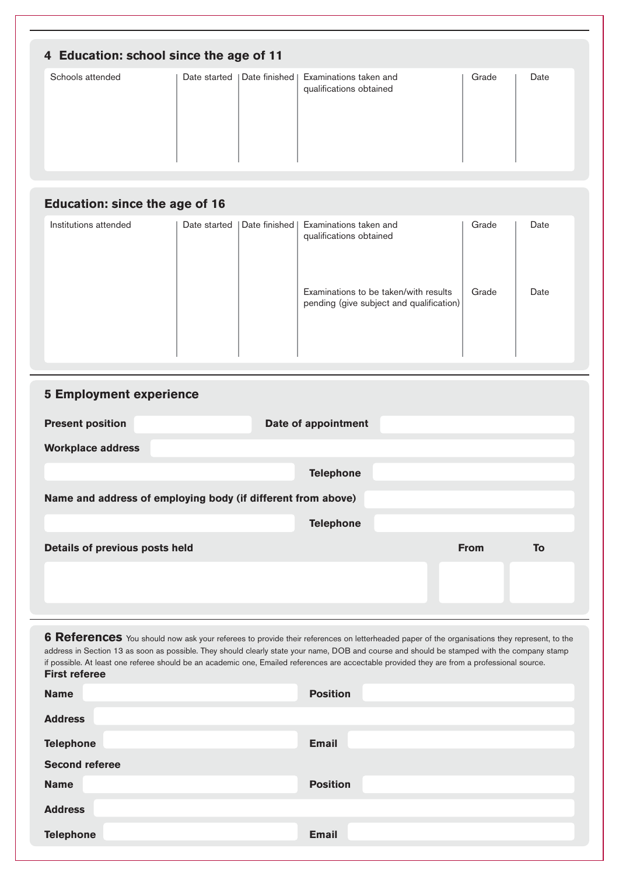| 4 Education: school since the age of 11 |              |                 |                                                   |       |      |
|-----------------------------------------|--------------|-----------------|---------------------------------------------------|-------|------|
| Schools attended                        | Date started | Date finished I | Examinations taken and<br>qualifications obtained | Grade | Date |
|                                         |              |                 |                                                   |       |      |
| <b>Education: since the age of 16</b>   |              |                 |                                                   |       |      |

| Institutions attended | Date started | Date finished   Examinations taken and<br>qualifications obtained                 | Grade | Date |
|-----------------------|--------------|-----------------------------------------------------------------------------------|-------|------|
|                       |              | Examinations to be taken/with results<br>pending (give subject and qualification) | Grade | Date |

| <b>5 Employment experience</b>                               |                     |             |    |
|--------------------------------------------------------------|---------------------|-------------|----|
| <b>Present position</b>                                      | Date of appointment |             |    |
| <b>Workplace address</b>                                     |                     |             |    |
|                                                              | <b>Telephone</b>    |             |    |
| Name and address of employing body (if different from above) |                     |             |    |
|                                                              | <b>Telephone</b>    |             |    |
| Details of previous posts held                               |                     | <b>From</b> | To |
|                                                              |                     |             |    |
|                                                              |                     |             |    |

**6 References** You should now ask your referees to provide their references on letterheaded paper of the organisations they represent, to the address in Section 13 as soon as possible. They should clearly state your name, DOB and course and should be stamped with the company stamp if possible. At least one referee should be an academic one, Emailed references are accectable provided they are from a professional source. **First referee**

| <b>Name</b>           | <b>Position</b> |
|-----------------------|-----------------|
| <b>Address</b>        |                 |
| <b>Telephone</b>      | <b>Email</b>    |
| <b>Second referee</b> |                 |
| <b>Name</b>           | <b>Position</b> |
| <b>Address</b>        |                 |
| <b>Telephone</b>      | <b>Email</b>    |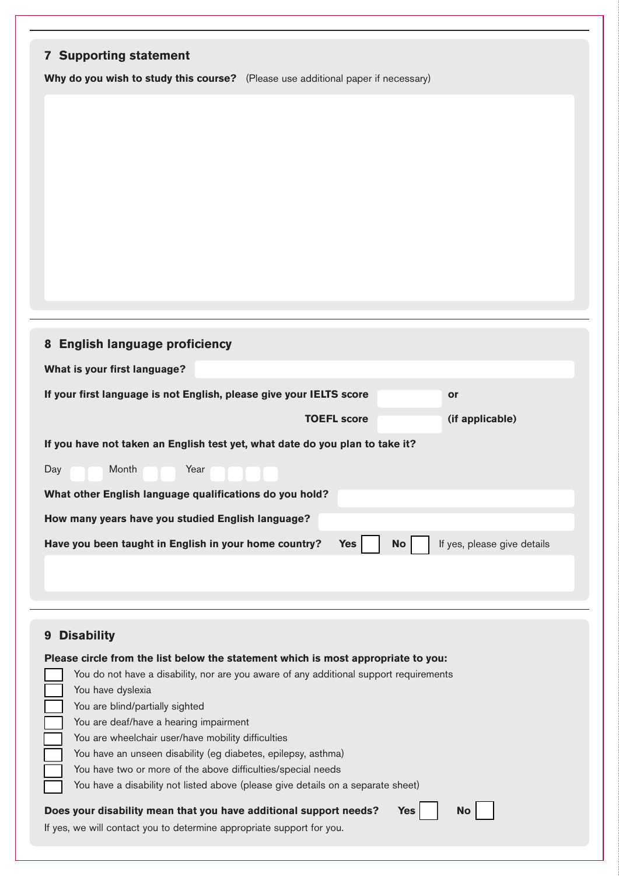| <b>7 Supporting statement</b>                                                                                   |
|-----------------------------------------------------------------------------------------------------------------|
| Why do you wish to study this course? (Please use additional paper if necessary)                                |
|                                                                                                                 |
|                                                                                                                 |
|                                                                                                                 |
|                                                                                                                 |
|                                                                                                                 |
|                                                                                                                 |
|                                                                                                                 |
|                                                                                                                 |
|                                                                                                                 |
|                                                                                                                 |
|                                                                                                                 |
|                                                                                                                 |
| 8 English language proficiency                                                                                  |
| What is your first language?                                                                                    |
|                                                                                                                 |
| If your first language is not English, please give your IELTS score<br><b>or</b>                                |
| <b>TOEFL score</b><br>(if applicable)                                                                           |
| If you have not taken an English test yet, what date do you plan to take it?                                    |
| Month<br>Year<br>Day                                                                                            |
| What other English language qualifications do you hold?                                                         |
|                                                                                                                 |
| How many years have you studied English language?                                                               |
| Have you been taught in English in your home country?<br>If yes, please give details<br><b>Yes</b><br><b>No</b> |
|                                                                                                                 |
|                                                                                                                 |
|                                                                                                                 |
| <b>Disability</b><br>9                                                                                          |
| Please circle from the list below the statement which is most appropriate to you:                               |
| You do not have a disability, nor are you aware of any additional support requirements                          |
| You have dyslexia                                                                                               |
| You are blind/partially sighted<br>You are deaf/have a hearing impairment                                       |
| You are wheelchair user/have mobility difficulties                                                              |
| You have an unseen disability (eg diabetes, epilepsy, asthma)                                                   |
| You have two or more of the above difficulties/special needs                                                    |
| You have a disability not listed above (please give details on a separate sheet)                                |
| Does your disability mean that you have additional support needs?<br><b>Yes</b><br><b>No</b>                    |
| If yes, we will contact you to determine appropriate support for you.                                           |
|                                                                                                                 |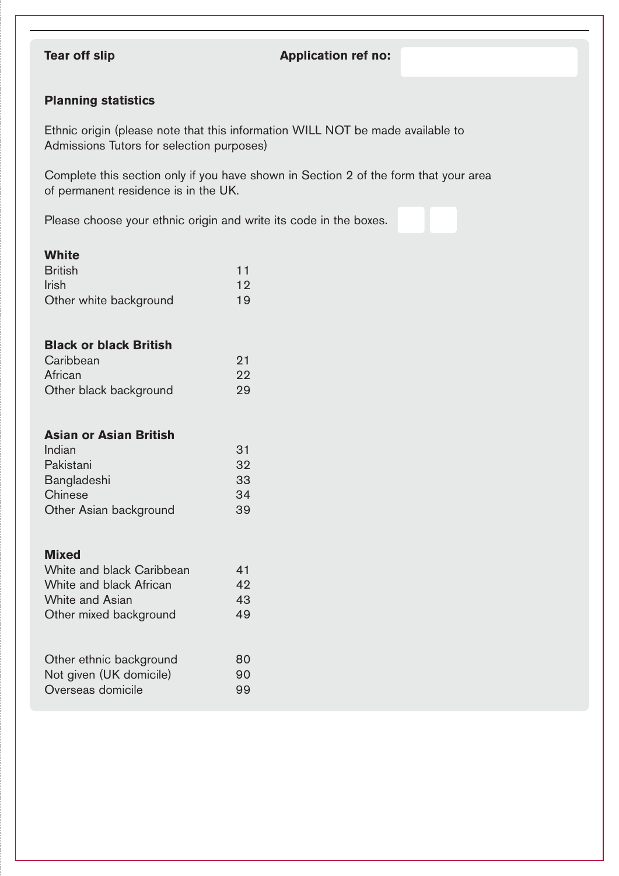## **Tear off slip Application ref no:**

### **Planning statistics**

Ethnic origin (please note that this information WILL NOT be made available to Admissions Tutors for selection purposes)

Complete this section only if you have shown in Section 2 of the form that your area of permanent residence is in the UK.

Please choose your ethnic origin and write its code in the boxes.

#### **White**

| <b>British</b>         | 11 |
|------------------------|----|
| <b>Irish</b>           | 12 |
| Other white background | 19 |

### **Black or black British**

| Caribbean              | 21 |
|------------------------|----|
| African                | 22 |
| Other black background | 29 |

#### **Asian or Asian British**

| Indian                 | 31 |
|------------------------|----|
| Pakistani              | 32 |
| Bangladeshi            | 33 |
| Chinese                | 34 |
| Other Asian background | 39 |

#### **Mixed**

| White and black Caribbean | 41 |
|---------------------------|----|
| White and black African   | 42 |
| White and Asian           | 43 |
| Other mixed background    | 49 |
|                           |    |
|                           |    |
| Other ethnic background   | 80 |
| Not given (UK domicile)   | O  |

Overseas domicile 99